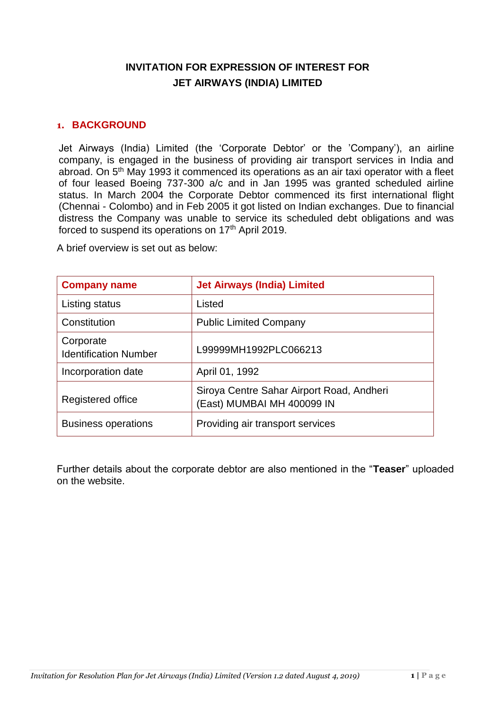# **INVITATION FOR EXPRESSION OF INTEREST FOR JET AIRWAYS (INDIA) LIMITED**

#### **1. BACKGROUND**

Jet Airways (India) Limited (the 'Corporate Debtor' or the 'Company'), an airline company, is engaged in the business of providing air transport services in India and abroad. On 5<sup>th</sup> May 1993 it commenced its operations as an air taxi operator with a fleet of four leased Boeing 737-300 a/c and in Jan 1995 was granted scheduled airline status. In March 2004 the Corporate Debtor commenced its first international flight (Chennai - Colombo) and in Feb 2005 it got listed on Indian exchanges. Due to financial distress the Company was unable to service its scheduled debt obligations and was forced to suspend its operations on 17<sup>th</sup> April 2019.

A brief overview is set out as below:

| <b>Company name</b>                       | <b>Jet Airways (India) Limited</b>                                     |
|-------------------------------------------|------------------------------------------------------------------------|
| Listing status                            | Listed                                                                 |
| Constitution                              | <b>Public Limited Company</b>                                          |
| Corporate<br><b>Identification Number</b> | L99999MH1992PLC066213                                                  |
| Incorporation date                        | April 01, 1992                                                         |
| Registered office                         | Siroya Centre Sahar Airport Road, Andheri<br>East) MUMBAI MH 400099 IN |
| <b>Business operations</b>                | Providing air transport services                                       |

Further details about the corporate debtor are also mentioned in the "**Teaser**" uploaded on the website.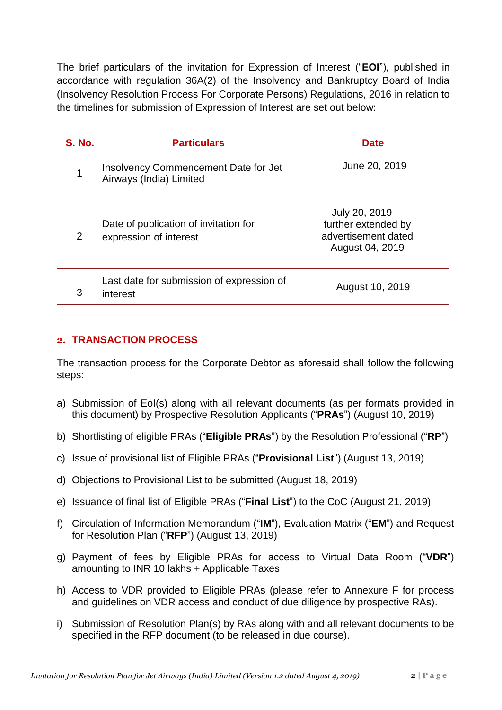The brief particulars of the invitation for Expression of Interest ("**EOI**"), published in accordance with regulation 36A(2) of the Insolvency and Bankruptcy Board of India (Insolvency Resolution Process For Corporate Persons) Regulations, 2016 in relation to the timelines for submission of Expression of Interest are set out below:

| <b>S. No.</b> | <b>Particulars</b>                                                     | <b>Date</b>                                                                    |
|---------------|------------------------------------------------------------------------|--------------------------------------------------------------------------------|
| 1             | <b>Insolvency Commencement Date for Jet</b><br>Airways (India) Limited | June 20, 2019                                                                  |
| 2             | Date of publication of invitation for<br>expression of interest        | July 20, 2019<br>further extended by<br>advertisement dated<br>August 04, 2019 |
| 3             | Last date for submission of expression of<br>interest                  | August 10, 2019                                                                |

## **2. TRANSACTION PROCESS**

The transaction process for the Corporate Debtor as aforesaid shall follow the following steps:

- a) Submission of EoI(s) along with all relevant documents (as per formats provided in this document) by Prospective Resolution Applicants ("**PRAs**") (August 10, 2019)
- b) Shortlisting of eligible PRAs ("**Eligible PRAs**") by the Resolution Professional ("**RP**")
- c) Issue of provisional list of Eligible PRAs ("**Provisional List**") (August 13, 2019)
- d) Objections to Provisional List to be submitted (August 18, 2019)
- e) Issuance of final list of Eligible PRAs ("**Final List**") to the CoC (August 21, 2019)
- f) Circulation of Information Memorandum ("**IM**"), Evaluation Matrix ("**EM**") and Request for Resolution Plan ("**RFP**") (August 13, 2019)
- g) Payment of fees by Eligible PRAs for access to Virtual Data Room ("**VDR**") amounting to INR 10 lakhs + Applicable Taxes
- h) Access to VDR provided to Eligible PRAs (please refer to Annexure F for process and guidelines on VDR access and conduct of due diligence by prospective RAs).
- i) Submission of Resolution Plan(s) by RAs along with and all relevant documents to be specified in the RFP document (to be released in due course).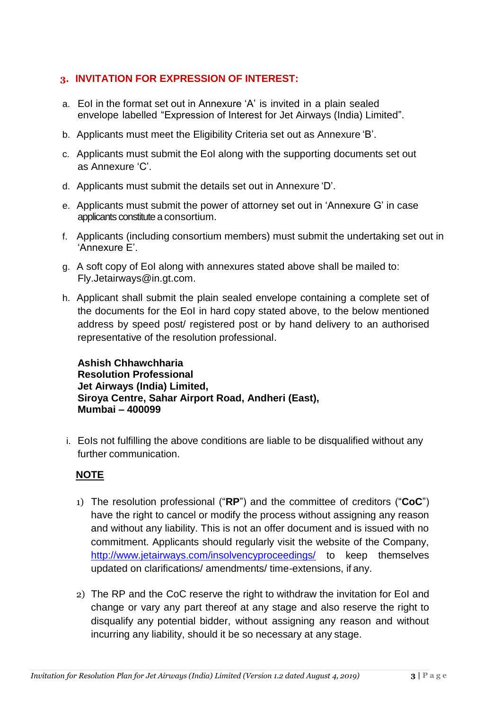## **3. INVITATION FOR EXPRESSION OF INTEREST:**

- a. EoI in the format set out in Annexure 'A' is invited in a plain sealed envelope labelled "Expression of Interest for Jet Airways (India) Limited".
- b. Applicants must meet the Eligibility Criteria set out as Annexure 'B'.
- c. Applicants must submit the EoI along with the supporting documents set out as Annexure 'C'.
- d. Applicants must submit the details set out in Annexure 'D'.
- e. Applicants must submit the power of attorney set out in 'Annexure G' in case applicants constitute a consortium.
- f. Applicants (including consortium members) must submit the undertaking set out in 'Annexure E'.
- g. A soft copy of EoI along with annexures stated above shall be mailed to: Fly.Jetairways@in.gt.com.
- h. Applicant shall submit the plain sealed envelope containing a complete set of the documents for the EoI in hard copy stated above, to the below mentioned address by speed post/ registered post or by hand delivery to an authorised representative of the resolution professional.

**Ashish Chhawchharia Resolution Professional Jet Airways (India) Limited, Siroya Centre, Sahar Airport Road, Andheri (East), Mumbai – 400099**

i. EoIs not fulfilling the above conditions are liable to be disqualified without any further communication.

# **NOTE**

- 1) The resolution professional ("**RP**") and the committee of creditors ("**CoC**") have the right to cancel or modify the process without assigning any reason and without any liability. This is not an offer document and is issued with no commitment. Applicants should regularly visit the website of the Company, <http://www.jetairways.com/insolvencyproceedings/> to keep themselves updated on clarifications/ amendments/ time-extensions, if any.
- 2) The RP and the CoC reserve the right to withdraw the invitation for EoI and change or vary any part thereof at any stage and also reserve the right to disqualify any potential bidder, without assigning any reason and without incurring any liability, should it be so necessary at any stage.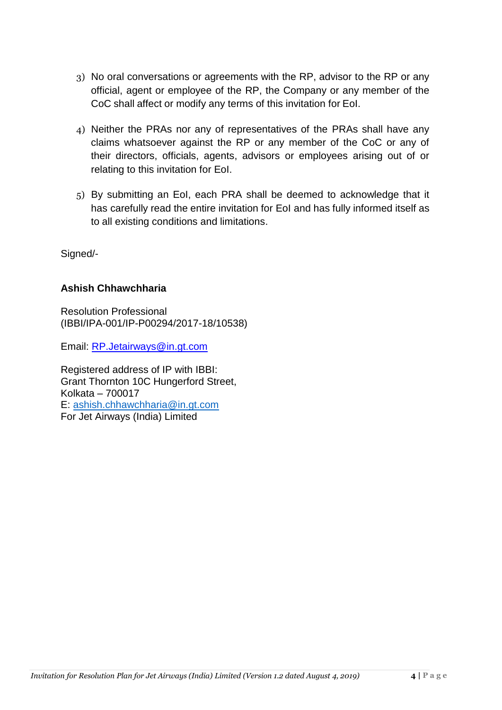- 3) No oral conversations or agreements with the RP, advisor to the RP or any official, agent or employee of the RP, the Company or any member of the CoC shall affect or modify any terms of this invitation for EoI.
- 4) Neither the PRAs nor any of representatives of the PRAs shall have any claims whatsoever against the RP or any member of the CoC or any of their directors, officials, agents, advisors or employees arising out of or relating to this invitation for EoI.
- 5) By submitting an EoI, each PRA shall be deemed to acknowledge that it has carefully read the entire invitation for EoI and has fully informed itself as to all existing conditions and limitations.

Signed/-

# **Ashish Chhawchharia**

Resolution Professional (IBBI/IPA-001/IP-P00294/2017-18/10538)

Email: [RP.Jetairways@in.gt.com](mailto:RP.Jetairways@in.gt.com)

Registered address of IP with IBBI: Grant Thornton 10C Hungerford Street, Kolkata – 700017 E: [ashish.chhawchharia@in.gt.com](mailto:ashish.chhawchharia@in.gt.com) For Jet Airways (India) Limited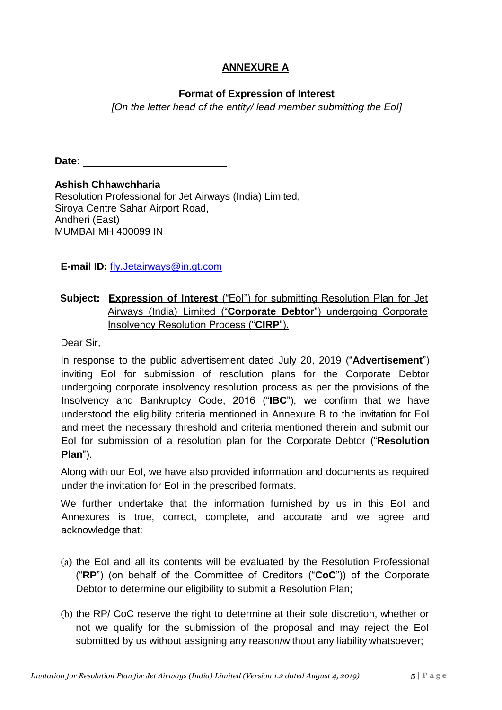# **ANNEXURE A**

## **Format of Expression of Interest**

*[On the letter head of the entity/ lead member submitting the EoI]*

**Date:**

**Ashish Chhawchharia** Resolution Professional for Jet Airways (India) Limited, Siroya Centre Sahar Airport Road, Andheri (East) MUMBAI MH 400099 IN

**E-mail ID:** [fly.Jetairways@in.gt.com](mailto:fly.Jetairways@in.gt.com)

## **Subject: Expression of Interest** ("EoI") for submitting Resolution Plan for Jet Airways (India) Limited ("**Corporate Debtor**") undergoing Corporate Insolvency Resolution Process ("**CIRP**")**.**

Dear Sir,

In response to the public advertisement dated July 20, 2019 ("**Advertisement**") inviting EoI for submission of resolution plans for the Corporate Debtor undergoing corporate insolvency resolution process as per the provisions of the Insolvency and Bankruptcy Code, 2016 ("**IBC**"), we confirm that we have understood the eligibility criteria mentioned in Annexure B to the invitation for EoI and meet the necessary threshold and criteria mentioned therein and submit our EoI for submission of a resolution plan for the Corporate Debtor ("**Resolution Plan**").

Along with our EoI, we have also provided information and documents as required under the invitation for EoI in the prescribed formats.

We further undertake that the information furnished by us in this EoI and Annexures is true, correct, complete, and accurate and we agree and acknowledge that:

- (a) the EoI and all its contents will be evaluated by the Resolution Professional ("**RP**") (on behalf of the Committee of Creditors ("**CoC**")) of the Corporate Debtor to determine our eligibility to submit a Resolution Plan;
- (b) the RP/ CoC reserve the right to determine at their sole discretion, whether or not we qualify for the submission of the proposal and may reject the EoI submitted by us without assigning any reason/without any liability whatsoever;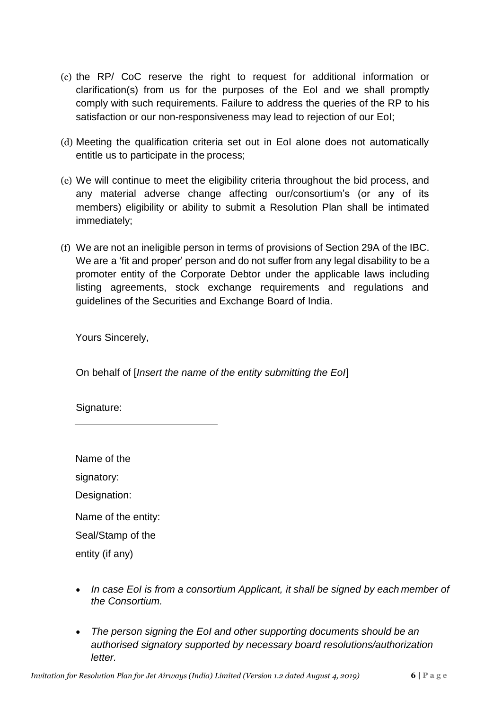- (c) the RP/ CoC reserve the right to request for additional information or clarification(s) from us for the purposes of the EoI and we shall promptly comply with such requirements. Failure to address the queries of the RP to his satisfaction or our non-responsiveness may lead to rejection of our EoI;
- (d) Meeting the qualification criteria set out in EoI alone does not automatically entitle us to participate in the process;
- (e) We will continue to meet the eligibility criteria throughout the bid process, and any material adverse change affecting our/consortium's (or any of its members) eligibility or ability to submit a Resolution Plan shall be intimated immediately;
- (f) We are not an ineligible person in terms of provisions of Section 29A of the IBC. We are a 'fit and proper' person and do not suffer from any legal disability to be a promoter entity of the Corporate Debtor under the applicable laws including listing agreements, stock exchange requirements and regulations and guidelines of the Securities and Exchange Board of India.

Yours Sincerely,

On behalf of [*Insert the name of the entity submitting the EoI*]

Signature:

Name of the

signatory:

Designation:

Name of the entity:

Seal/Stamp of the

entity (if any)

- In case EoI is from a consortium Applicant, it shall be signed by each member of *the Consortium.*
- *The person signing the EoI and other supporting documents should be an authorised signatory supported by necessary board resolutions/authorization letter.*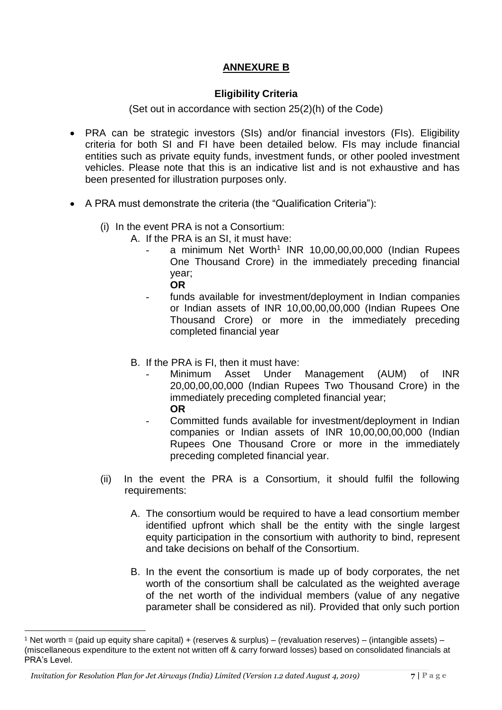## **ANNEXURE B**

#### **Eligibility Criteria**

(Set out in accordance with section 25(2)(h) of the Code)

- PRA can be strategic investors (SIs) and/or financial investors (FIs). Eligibility criteria for both SI and FI have been detailed below. FIs may include financial entities such as private equity funds, investment funds, or other pooled investment vehicles. Please note that this is an indicative list and is not exhaustive and has been presented for illustration purposes only.
- A PRA must demonstrate the criteria (the "Qualification Criteria"):
	- (i) In the event PRA is not a Consortium:
		- A. If the PRA is an SI, it must have:
			- a minimum Net Worth<sup>1</sup> INR 10,00,00,00,000 (Indian Rupees One Thousand Crore) in the immediately preceding financial year;
				- **OR**
			- funds available for investment/deployment in Indian companies or Indian assets of INR 10,00,00,00,000 (Indian Rupees One Thousand Crore) or more in the immediately preceding completed financial year
		- B. If the PRA is FI, then it must have:
			- Minimum Asset Under Management (AUM) of INR 20,00,00,00,000 (Indian Rupees Two Thousand Crore) in the immediately preceding completed financial year; **OR**
				- Committed funds available for investment/deployment in Indian companies or Indian assets of INR 10,00,00,00,000 (Indian Rupees One Thousand Crore or more in the immediately preceding completed financial year.
	- (ii) In the event the PRA is a Consortium, it should fulfil the following requirements:
		- A. The consortium would be required to have a lead consortium member identified upfront which shall be the entity with the single largest equity participation in the consortium with authority to bind, represent and take decisions on behalf of the Consortium.
		- B. In the event the consortium is made up of body corporates, the net worth of the consortium shall be calculated as the weighted average of the net worth of the individual members (value of any negative parameter shall be considered as nil). Provided that only such portion

 $\overline{a}$ 

<sup>&</sup>lt;sup>1</sup> Net worth = (paid up equity share capital) + (reserves & surplus) – (revaluation reserves) – (intangible assets) – (miscellaneous expenditure to the extent not written off & carry forward losses) based on consolidated financials at PRA's Level.

*Invitation for Resolution Plan for Jet Airways (India) Limited (Version 1.2 dated August 4, 2019)* **7 | P a g e**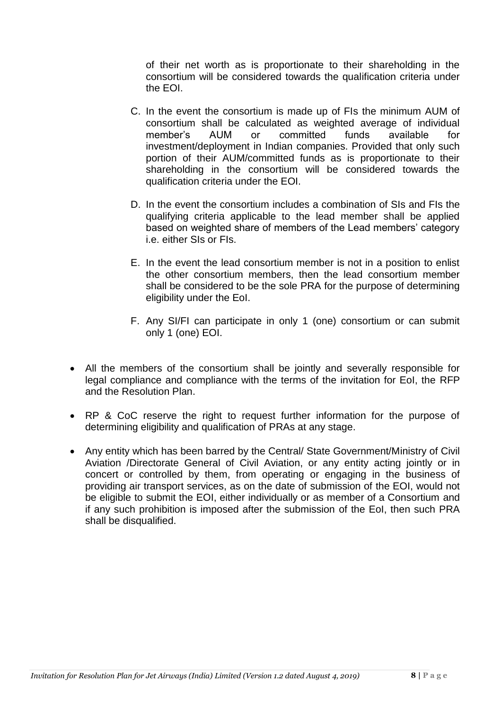of their net worth as is proportionate to their shareholding in the consortium will be considered towards the qualification criteria under the EOI.

- C. In the event the consortium is made up of FIs the minimum AUM of consortium shall be calculated as weighted average of individual member's AUM or committed funds available for investment/deployment in Indian companies. Provided that only such portion of their AUM/committed funds as is proportionate to their shareholding in the consortium will be considered towards the qualification criteria under the EOI.
- D. In the event the consortium includes a combination of SIs and FIs the qualifying criteria applicable to the lead member shall be applied based on weighted share of members of the Lead members' category i.e. either SIs or FIs.
- E. In the event the lead consortium member is not in a position to enlist the other consortium members, then the lead consortium member shall be considered to be the sole PRA for the purpose of determining eligibility under the EoI.
- F. Any SI/FI can participate in only 1 (one) consortium or can submit only 1 (one) EOI.
- All the members of the consortium shall be jointly and severally responsible for legal compliance and compliance with the terms of the invitation for EoI, the RFP and the Resolution Plan.
- RP & CoC reserve the right to request further information for the purpose of determining eligibility and qualification of PRAs at any stage.
- Any entity which has been barred by the Central/ State Government/Ministry of Civil Aviation /Directorate General of Civil Aviation, or any entity acting jointly or in concert or controlled by them, from operating or engaging in the business of providing air transport services, as on the date of submission of the EOI, would not be eligible to submit the EOI, either individually or as member of a Consortium and if any such prohibition is imposed after the submission of the EoI, then such PRA shall be disqualified.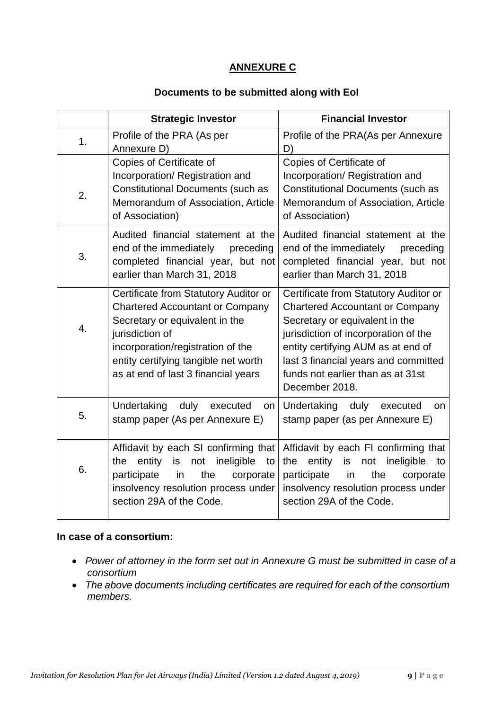## **ANNEXURE C**

#### **Documents to be submitted along with EoI**

|                | <b>Strategic Investor</b>                                                                                                                                                                                                                                | <b>Financial Investor</b>                                                                                                                                                                                                                                                                      |
|----------------|----------------------------------------------------------------------------------------------------------------------------------------------------------------------------------------------------------------------------------------------------------|------------------------------------------------------------------------------------------------------------------------------------------------------------------------------------------------------------------------------------------------------------------------------------------------|
| 1 <sub>1</sub> | Profile of the PRA (As per<br>Annexure D)                                                                                                                                                                                                                | Profile of the PRA(As per Annexure<br>D)                                                                                                                                                                                                                                                       |
| 2.             | Copies of Certificate of<br>Incorporation/ Registration and<br><b>Constitutional Documents (such as</b><br>Memorandum of Association, Article<br>of Association)                                                                                         | Copies of Certificate of<br>Incorporation/Registration and<br><b>Constitutional Documents (such as</b><br>Memorandum of Association, Article<br>of Association)                                                                                                                                |
| 3.             | Audited financial statement at the<br>end of the immediately<br>preceding<br>completed financial year, but not<br>earlier than March 31, 2018                                                                                                            | Audited financial statement at the<br>end of the immediately<br>preceding<br>completed financial year, but not<br>earlier than March 31, 2018                                                                                                                                                  |
| 4.             | Certificate from Statutory Auditor or<br><b>Chartered Accountant or Company</b><br>Secretary or equivalent in the<br>jurisdiction of<br>incorporation/registration of the<br>entity certifying tangible net worth<br>as at end of last 3 financial years | Certificate from Statutory Auditor or<br><b>Chartered Accountant or Company</b><br>Secretary or equivalent in the<br>jurisdiction of incorporation of the<br>entity certifying AUM as at end of<br>last 3 financial years and committed<br>funds not earlier than as at 31st<br>December 2018. |
| 5.             | Undertaking<br>duly<br>executed<br>on<br>stamp paper (As per Annexure E)                                                                                                                                                                                 | Undertaking<br>duly<br>executed<br>on<br>stamp paper (as per Annexure E)                                                                                                                                                                                                                       |
| 6.             | Affidavit by each SI confirming that<br>ineligible<br>entity<br>is<br>the<br>not<br>to<br>participate<br>in<br>the<br>corporate<br>insolvency resolution process under<br>section 29A of the Code.                                                       | Affidavit by each FI confirming that<br>entity<br>the<br>is<br>ineligible<br>not<br>to<br>participate<br>the<br>in<br>corporate<br>insolvency resolution process under<br>section 29A of the Code.                                                                                             |

#### **In case of a consortium:**

- *Power of attorney in the form set out in Annexure G must be submitted in case of a consortium*
- *The above documents including certificates are required for each of the consortium members.*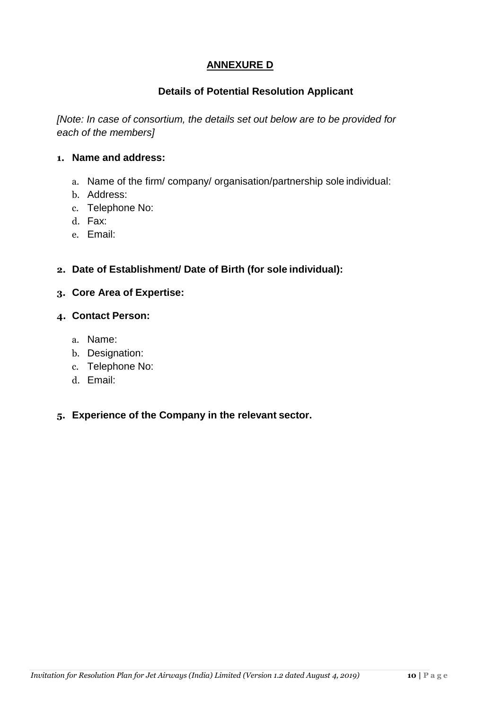# **ANNEXURE D**

## **Details of Potential Resolution Applicant**

*[Note: In case of consortium, the details set out below are to be provided for each of the members]*

#### **1. Name and address:**

- a. Name of the firm/ company/ organisation/partnership sole individual:
- b. Address:
- c. Telephone No:
- d. Fax:
- e. Email:

## **2. Date of Establishment/ Date of Birth (for sole individual):**

## **3. Core Area of Expertise:**

## **4. Contact Person:**

- a. Name:
- b. Designation:
- c. Telephone No:
- d. Email:

## **5. Experience of the Company in the relevant sector.**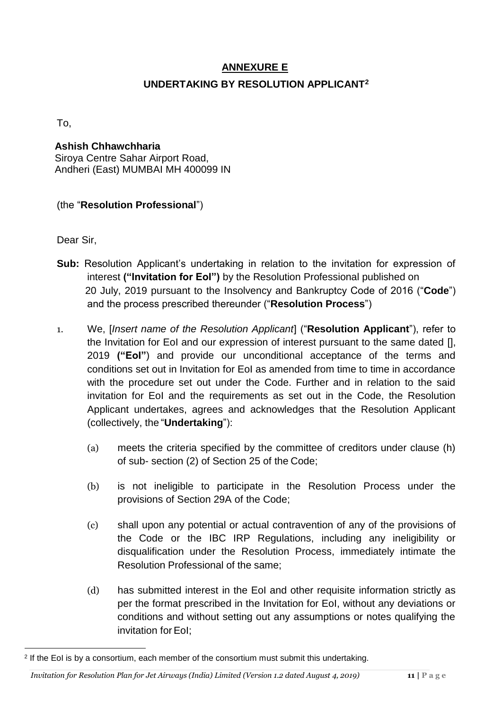# **ANNEXURE E UNDERTAKING BY RESOLUTION APPLICANT<sup>2</sup>**

To,

## **Ashish Chhawchharia** Siroya Centre Sahar Airport Road, Andheri (East) MUMBAI MH 400099 IN

## (the "**Resolution Professional**")

Dear Sir,

 $\overline{a}$ 

- **Sub:** Resolution Applicant's undertaking in relation to the invitation for expression of interest **("Invitation for EoI")** by the Resolution Professional published on 20 July, 2019 pursuant to the Insolvency and Bankruptcy Code of 2016 ("**Code**") and the process prescribed thereunder ("**Resolution Process**")
- 1. We, [*Insert name of the Resolution Applicant*] ("**Resolution Applicant**"), refer to the Invitation for EoI and our expression of interest pursuant to the same dated [], 2019 **("EoI"**) and provide our unconditional acceptance of the terms and conditions set out in Invitation for EoI as amended from time to time in accordance with the procedure set out under the Code. Further and in relation to the said invitation for EoI and the requirements as set out in the Code, the Resolution Applicant undertakes, agrees and acknowledges that the Resolution Applicant (collectively, the "**Undertaking**"):
	- (a) meets the criteria specified by the committee of creditors under clause (h) of sub- section (2) of Section 25 of the Code;
	- (b) is not ineligible to participate in the Resolution Process under the provisions of Section 29A of the Code;
	- (c) shall upon any potential or actual contravention of any of the provisions of the Code or the IBC IRP Regulations, including any ineligibility or disqualification under the Resolution Process, immediately intimate the Resolution Professional of the same;
	- (d) has submitted interest in the EoI and other requisite information strictly as per the format prescribed in the Invitation for EoI, without any deviations or conditions and without setting out any assumptions or notes qualifying the invitation for EoI:

<sup>&</sup>lt;sup>2</sup> If the EoI is by a consortium, each member of the consortium must submit this undertaking.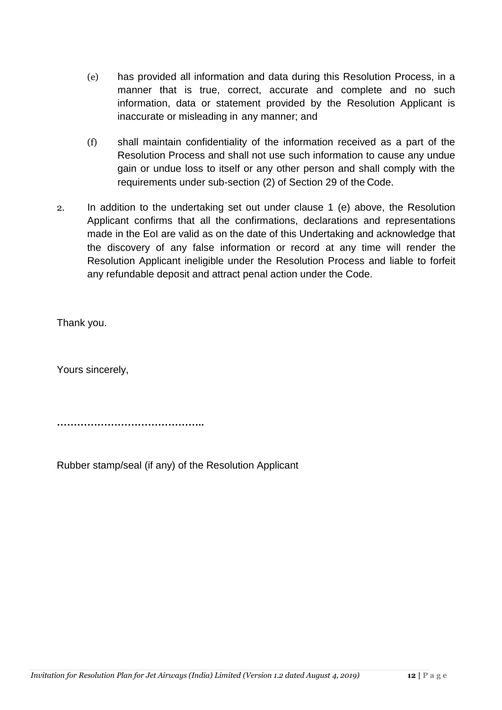- (e) has provided all information and data during this Resolution Process, in a manner that is true, correct, accurate and complete and no such information, data or statement provided by the Resolution Applicant is inaccurate or misleading in any manner; and
- (f) shall maintain confidentiality of the information received as a part of the Resolution Process and shall not use such information to cause any undue gain or undue loss to itself or any other person and shall comply with the requirements under sub-section (2) of Section 29 of the Code.
- 2. In addition to the undertaking set out under clause 1 (e) above, the Resolution Applicant confirms that all the confirmations, declarations and representations made in the EoI are valid as on the date of this Undertaking and acknowledge that the discovery of any false information or record at any time will render the Resolution Applicant ineligible under the Resolution Process and liable to forfeit any refundable deposit and attract penal action under the Code.

Thank you.

Yours sincerely,

**……………………………………..**

Rubber stamp/seal (if any) of the Resolution Applicant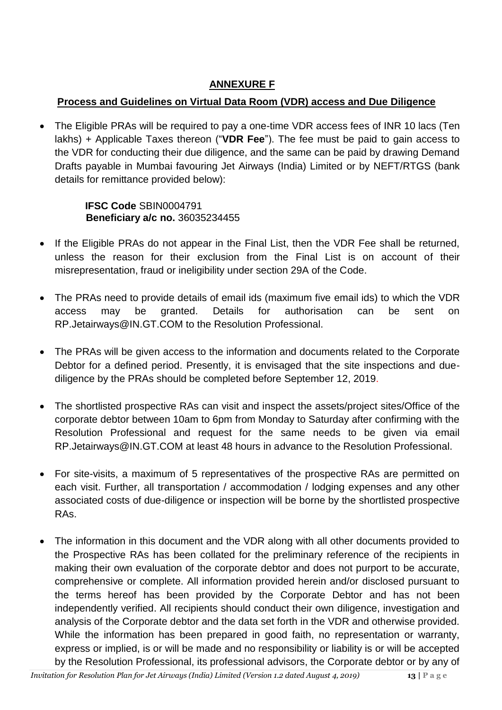# **ANNEXURE F**

# **Process and Guidelines on Virtual Data Room (VDR) access and Due Diligence**

 The Eligible PRAs will be required to pay a one-time VDR access fees of INR 10 lacs (Ten lakhs) + Applicable Taxes thereon ("**VDR Fee**"). The fee must be paid to gain access to the VDR for conducting their due diligence, and the same can be paid by drawing Demand Drafts payable in Mumbai favouring Jet Airways (India) Limited or by NEFT/RTGS (bank details for remittance provided below):

# **IFSC Code** SBIN0004791  **Beneficiary a/c no.** 36035234455

- If the Eligible PRAs do not appear in the Final List, then the VDR Fee shall be returned, unless the reason for their exclusion from the Final List is on account of their misrepresentation, fraud or ineligibility under section 29A of the Code.
- The PRAs need to provide details of email ids (maximum five email ids) to which the VDR access may be granted. Details for authorisation can be sent on RP.Jetairways@IN.GT.COM to the Resolution Professional.
- The PRAs will be given access to the information and documents related to the Corporate Debtor for a defined period. Presently, it is envisaged that the site inspections and duediligence by the PRAs should be completed before September 12, 2019.
- The shortlisted prospective RAs can visit and inspect the assets/project sites/Office of the corporate debtor between 10am to 6pm from Monday to Saturday after confirming with the Resolution Professional and request for the same needs to be given via email RP.Jetairways@IN.GT.COM at least 48 hours in advance to the Resolution Professional.
- For site-visits, a maximum of 5 representatives of the prospective RAs are permitted on each visit. Further, all transportation / accommodation / lodging expenses and any other associated costs of due-diligence or inspection will be borne by the shortlisted prospective RAs.
- The information in this document and the VDR along with all other documents provided to the Prospective RAs has been collated for the preliminary reference of the recipients in making their own evaluation of the corporate debtor and does not purport to be accurate, comprehensive or complete. All information provided herein and/or disclosed pursuant to the terms hereof has been provided by the Corporate Debtor and has not been independently verified. All recipients should conduct their own diligence, investigation and analysis of the Corporate debtor and the data set forth in the VDR and otherwise provided. While the information has been prepared in good faith, no representation or warranty, express or implied, is or will be made and no responsibility or liability is or will be accepted by the Resolution Professional, its professional advisors, the Corporate debtor or by any of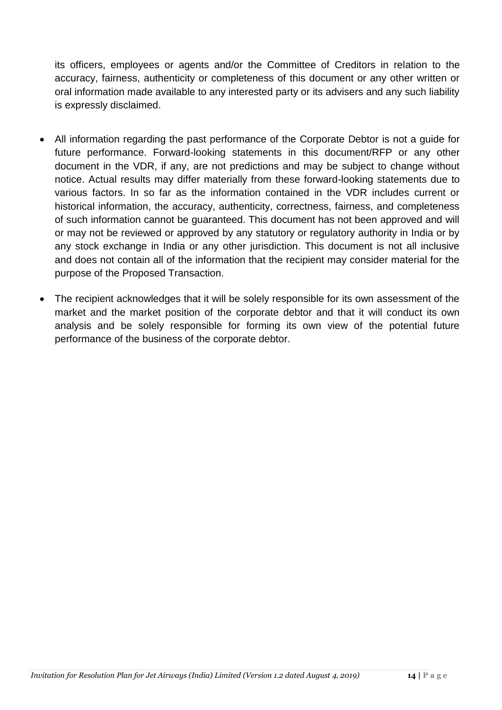its officers, employees or agents and/or the Committee of Creditors in relation to the accuracy, fairness, authenticity or completeness of this document or any other written or oral information made available to any interested party or its advisers and any such liability is expressly disclaimed.

- All information regarding the past performance of the Corporate Debtor is not a guide for future performance. Forward-looking statements in this document/RFP or any other document in the VDR, if any, are not predictions and may be subject to change without notice. Actual results may differ materially from these forward-looking statements due to various factors. In so far as the information contained in the VDR includes current or historical information, the accuracy, authenticity, correctness, fairness, and completeness of such information cannot be guaranteed. This document has not been approved and will or may not be reviewed or approved by any statutory or regulatory authority in India or by any stock exchange in India or any other jurisdiction. This document is not all inclusive and does not contain all of the information that the recipient may consider material for the purpose of the Proposed Transaction.
- The recipient acknowledges that it will be solely responsible for its own assessment of the market and the market position of the corporate debtor and that it will conduct its own analysis and be solely responsible for forming its own view of the potential future performance of the business of the corporate debtor.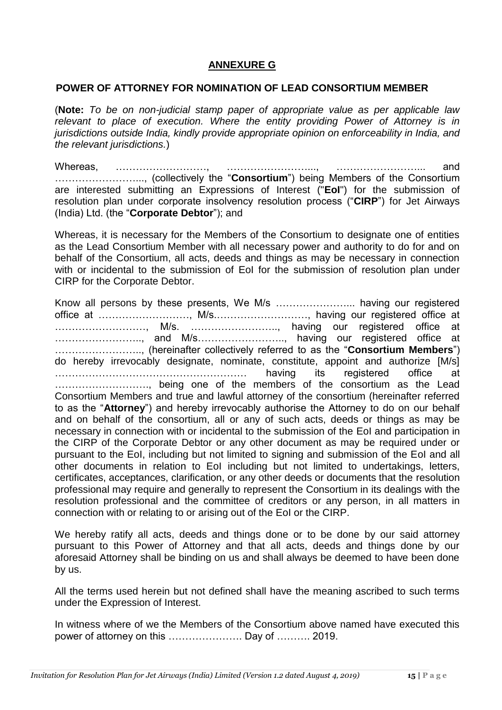### **ANNEXURE G**

#### **POWER OF ATTORNEY FOR NOMINATION OF LEAD CONSORTIUM MEMBER**

(**Note:** *To be on non-judicial stamp paper of appropriate value as per applicable law relevant to place of execution. Where the entity providing Power of Attorney is in jurisdictions outside India, kindly provide appropriate opinion on enforceability in India, and the relevant jurisdictions.*)

Whereas, ………………………, ………………………, ………………………… and ……………………..., (collectively the "**Consortium**") being Members of the Consortium are interested submitting an Expressions of Interest ("**EoI**") for the submission of resolution plan under corporate insolvency resolution process ("**CIRP**") for Jet Airways (India) Ltd. (the "**Corporate Debtor**"); and

Whereas, it is necessary for the Members of the Consortium to designate one of entities as the Lead Consortium Member with all necessary power and authority to do for and on behalf of the Consortium, all acts, deeds and things as may be necessary in connection with or incidental to the submission of EoI for the submission of resolution plan under CIRP for the Corporate Debtor.

Know all persons by these presents, We M/s …………………... having our registered office at ………………………, M/s.………………………, having our registered office at ………………………, M/s. …………………….., having our registered office at …………………….., and M/s…………………….., having our registered office at …………………….., (hereinafter collectively referred to as the "**Consortium Members**") do hereby irrevocably designate, nominate, constitute, appoint and authorize [M/s] ………………………………………………… having its registered office at ………………………., being one of the members of the consortium as the Lead Consortium Members and true and lawful attorney of the consortium (hereinafter referred to as the "**Attorney**") and hereby irrevocably authorise the Attorney to do on our behalf and on behalf of the consortium, all or any of such acts, deeds or things as may be necessary in connection with or incidental to the submission of the EoI and participation in the CIRP of the Corporate Debtor or any other document as may be required under or pursuant to the EoI, including but not limited to signing and submission of the EoI and all other documents in relation to EoI including but not limited to undertakings, letters, certificates, acceptances, clarification, or any other deeds or documents that the resolution professional may require and generally to represent the Consortium in its dealings with the resolution professional and the committee of creditors or any person, in all matters in connection with or relating to or arising out of the EoI or the CIRP.

We hereby ratify all acts, deeds and things done or to be done by our said attorney pursuant to this Power of Attorney and that all acts, deeds and things done by our aforesaid Attorney shall be binding on us and shall always be deemed to have been done by us.

All the terms used herein but not defined shall have the meaning ascribed to such terms under the Expression of Interest.

In witness where of we the Members of the Consortium above named have executed this power of attorney on this …………………. Day of ………. 2019.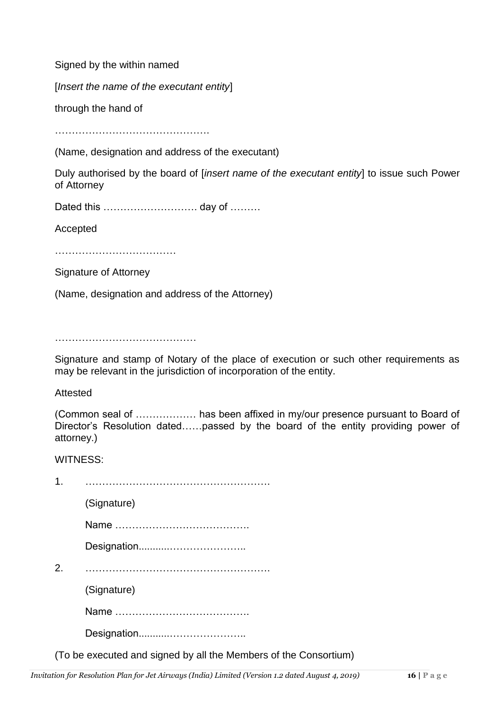Signed by the within named

[*Insert the name of the executant entity*]

through the hand of

……………………………………….

(Name, designation and address of the executant)

Duly authorised by the board of [*insert name of the executant entity*] to issue such Power of Attorney

Dated this ………………………. day of ………

Accepted

………………………………

Signature of Attorney

(Name, designation and address of the Attorney)

……………………………………

Signature and stamp of Notary of the place of execution or such other requirements as may be relevant in the jurisdiction of incorporation of the entity.

Attested

(Common seal of ……………… has been affixed in my/our presence pursuant to Board of Director's Resolution dated……passed by the board of the entity providing power of attorney.)

WITNESS:

| $\mathbf 1$ |                                                                  |
|-------------|------------------------------------------------------------------|
|             | (Signature)                                                      |
|             |                                                                  |
|             |                                                                  |
| 2.          |                                                                  |
|             | (Signature)                                                      |
|             |                                                                  |
|             |                                                                  |
|             | (To be executed and signed by all the Members of the Consortium) |